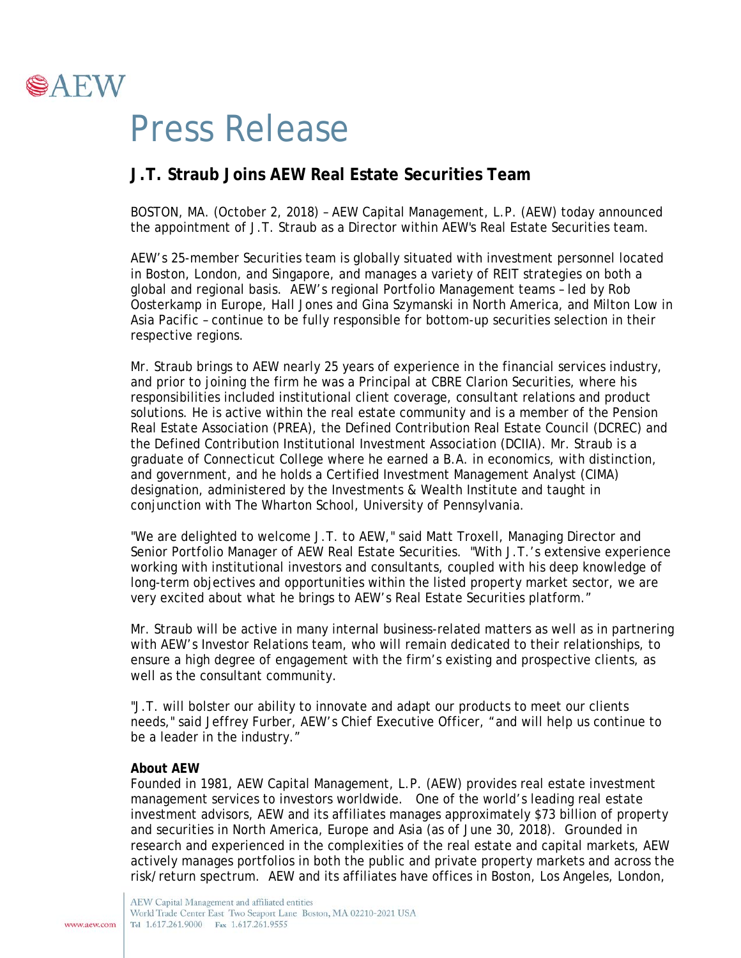

## Press Release

## **J.T. Straub Joins AEW Real Estate Securities Team**

BOSTON, MA. (October 2, 2018) – AEW Capital Management, L.P. (AEW) today announced the appointment of J.T. Straub as a Director within AEW's Real Estate Securities team.

AEW's 25-member Securities team is globally situated with investment personnel located in Boston, London, and Singapore, and manages a variety of REIT strategies on both a global and regional basis. AEW's regional Portfolio Management teams – led by Rob Oosterkamp in Europe, Hall Jones and Gina Szymanski in North America, and Milton Low in Asia Pacific – continue to be fully responsible for bottom-up securities selection in their respective regions.

Mr. Straub brings to AEW nearly 25 years of experience in the financial services industry, and prior to joining the firm he was a Principal at CBRE Clarion Securities, where his responsibilities included institutional client coverage, consultant relations and product solutions. He is active within the real estate community and is a member of the Pension Real Estate Association (PREA), the Defined Contribution Real Estate Council (DCREC) and the Defined Contribution Institutional Investment Association (DCIIA). Mr. Straub is a graduate of Connecticut College where he earned a B.A. in economics, with distinction, and government, and he holds a Certified Investment Management Analyst (CIMA) designation, administered by the Investments & Wealth Institute and taught in conjunction with The Wharton School, University of Pennsylvania.

"We are delighted to welcome J.T. to AEW," said Matt Troxell, Managing Director and Senior Portfolio Manager of AEW Real Estate Securities. "With J.T.'s extensive experience working with institutional investors and consultants, coupled with his deep knowledge of long-term objectives and opportunities within the listed property market sector, we are very excited about what he brings to AEW's Real Estate Securities platform."

Mr. Straub will be active in many internal business-related matters as well as in partnering with AEW's Investor Relations team, who will remain dedicated to their relationships, to ensure a high degree of engagement with the firm's existing and prospective clients, as well as the consultant community.

"J.T. will bolster our ability to innovate and adapt our products to meet our clients needs," said Jeffrey Furber, AEW's Chief Executive Officer, "and will help us continue to be a leader in the industry."

## **About AEW**

Founded in 1981, AEW Capital Management, L.P. (AEW) provides real estate investment management services to investors worldwide. One of the world's leading real estate investment advisors, AEW and its affiliates manages approximately \$73 billion of property and securities in North America, Europe and Asia (as of June 30, 2018). Grounded in research and experienced in the complexities of the real estate and capital markets, AEW actively manages portfolios in both the public and private property markets and across the risk/return spectrum. AEW and its affiliates have offices in Boston, Los Angeles, London,